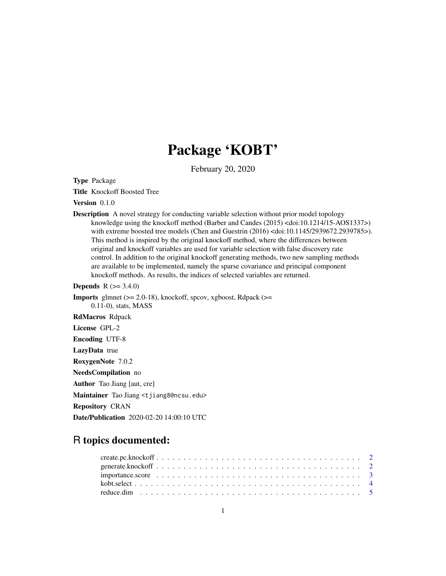## Package 'KOBT'

February 20, 2020

Type Package

Title Knockoff Boosted Tree

Version 0.1.0

**Description** A novel strategy for conducting variable selection without prior model topology knowledge using the knockoff method (Barber and Candes (2015) <doi:10.1214/15-AOS1337>) with extreme boosted tree models (Chen and Guestrin (2016) <doi:10.1145/2939672.2939785>). This method is inspired by the original knockoff method, where the differences between original and knockoff variables are used for variable selection with false discovery rate control. In addition to the original knockoff generating methods, two new sampling methods are available to be implemented, namely the sparse covariance and principal component knockoff methods. As results, the indices of selected variables are returned.

**Depends** R  $(>= 3.4.0)$ 

**Imports** glmnet  $(>= 2.0-18)$ , knockoff, spcov, xgboost, Rdpack  $(>=$ 0.11-0), stats, MASS

RdMacros Rdpack

License GPL-2

Encoding UTF-8

LazyData true

RoxygenNote 7.0.2

NeedsCompilation no

Author Tao Jiang [aut, cre]

Maintainer Tao Jiang <tjiang8@ncsu.edu>

Repository CRAN

Date/Publication 2020-02-20 14:00:10 UTC

### R topics documented: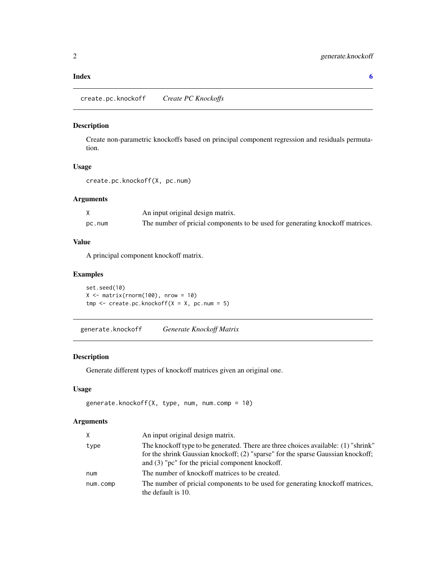#### <span id="page-1-0"></span>**Index** [6](#page-5-0) **6**

#### Description

Create non-parametric knockoffs based on principal component regression and residuals permutation.

#### Usage

create.pc.knockoff(X, pc.num)

#### Arguments

|        | An input original design matrix.                                              |
|--------|-------------------------------------------------------------------------------|
| pc.num | The number of pricial components to be used for generating knockoff matrices. |

#### Value

A principal component knockoff matrix.

#### Examples

set.seed(10)  $X \leq -$  matrix(rnorm(100), nrow = 10)  $tmp \leftarrow create.pc.knockoff(X = X, pc.num = 5)$ 

generate.knockoff *Generate Knockoff Matrix*

#### Description

Generate different types of knockoff matrices given an original one.

#### Usage

```
generate.knockoff(X, type, num, num.comp = 10)
```
#### Arguments

| X        | An input original design matrix.                                                                                                                                                                                             |
|----------|------------------------------------------------------------------------------------------------------------------------------------------------------------------------------------------------------------------------------|
| type     | The knockoff type to be generated. There are three choices available: (1) "shrink"<br>for the shrink Gaussian knockoff; (2) "sparse" for the sparse Gaussian knockoff;<br>and $(3)$ "pc" for the pricial component knockoff. |
| num      | The number of knockoff matrices to be created.                                                                                                                                                                               |
| num.comp | The number of pricial components to be used for generating knockoff matrices,<br>the default is 10.                                                                                                                          |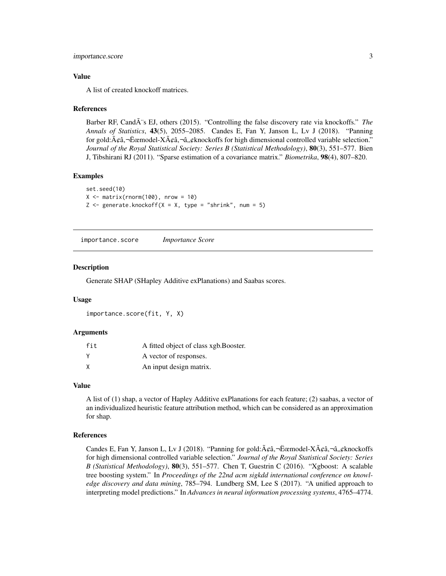#### <span id="page-2-0"></span>importance.score 3

#### Value

A list of created knockoff matrices.

#### References

Barber RF, Cand $\tilde{A}$ 's EJ, others (2015). "Controlling the false discovery rate via knockoffs." *The Annals of Statistics*, 43(5), 2055–2085. Candes E, Fan Y, Janson L, Lv J (2018). "Panning for gold: $A\phi\hat{a}$ ,  $\vec{E}$ cemodel-X $\vec{A}\phi\hat{a}$ ,  $\vec{a}$ ,  $\phi$ knockoffs for high dimensional controlled variable selection." *Journal of the Royal Statistical Society: Series B (Statistical Methodology)*, 80(3), 551–577. Bien J, Tibshirani RJ (2011). "Sparse estimation of a covariance matrix." *Biometrika*, 98(4), 807–820.

#### Examples

```
set.seed(10)
X \leq - matrix(rnorm(100), nrow = 10)
Z \leq generate.knockoff(X = X, type = "shrink", num = 5)
```
importance.score *Importance Score*

#### **Description**

Generate SHAP (SHapley Additive exPlanations) and Saabas scores.

#### Usage

importance.score(fit, Y, X)

#### Arguments

| fit | A fitted object of class xgb. Booster. |
|-----|----------------------------------------|
|     | A vector of responses.                 |
|     | An input design matrix.                |

#### Value

A list of (1) shap, a vector of Hapley Additive exPlanations for each feature; (2) saabas, a vector of an individualized heuristic feature attribution method, which can be considered as an approximation for shap.

#### References

Candes E, Fan Y, Janson L, Ly J (2018). "Panning for gold: $\tilde{A}\xi$   $\ddot{\alpha}$ ,  $-\ddot{E}$  anning  $\tilde{A}\xi$  $\ddot{\alpha}$ ,  $-\hat{a}$ ,  $\xi$  knockoffs for high dimensional controlled variable selection." *Journal of the Royal Statistical Society: Series B (Statistical Methodology)*, 80(3), 551–577. Chen T, Guestrin C (2016). "Xgboost: A scalable tree boosting system." In *Proceedings of the 22nd acm sigkdd international conference on knowledge discovery and data mining*, 785–794. Lundberg SM, Lee S (2017). "A unified approach to interpreting model predictions." In *Advances in neural information processing systems*, 4765–4774.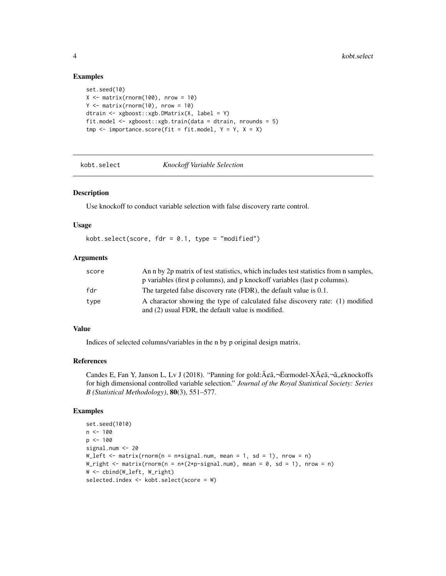#### Examples

```
set.seed(10)
X \leq - matrix(rnorm(100), nrow = 10)
Y \leq - matrix(rnorm(10), nrow = 10)
dtrain <- xgboost::xgb.DMatrix(X, label = Y)
fit.model <- xgboost::xgb.train(data = dtrain, nrounds = 5)
tmp \leftarrow importance.score(fit = fit.model, Y = Y, X = X)
```
kobt.select *Knockoff Variable Selection*

#### Description

Use knockoff to conduct variable selection with false discovery rarte control.

#### Usage

kobt.select(score,  $for = 0.1$ , type = "modified")

#### Arguments

| score | An n by 2p matrix of test statistics, which includes test statistics from n samples, |
|-------|--------------------------------------------------------------------------------------|
|       | p variables (first p columns), and p knockoff variables (last p columns).            |
| fdr   | The targeted false discovery rate (FDR), the default value is 0.1.                   |
| type  | A charactor showing the type of calculated false discovery rate: (1) modified        |
|       | and (2) usual FDR, the default value is modified.                                    |

#### Value

Indices of selected columns/variables in the n by p original design matrix.

#### References

Candes E, Fan Y, Janson L, Lv J (2018). "Panning for gold: ââ, ¬Ëœmodel-Xââ, ¬â,,¢knockoffs for high dimensional controlled variable selection." *Journal of the Royal Statistical Society: Series B (Statistical Methodology)*, 80(3), 551–577.

#### Examples

```
set.seed(1010)
n < - 100p <- 100
signal.num <- 20
W_{\text{left}} \leftarrow \text{matrix}(rnorm(n = n * signal.num, mean = 1, sd = 1), nrow = n)W_right \leq matrix(rnorm(n = n*(2*p-signal.num), mean = 0, sd = 1), nrow = n)
W <- cbind(W_left, W_right)
selected.index <- kobt.select(score = W)
```
<span id="page-3-0"></span>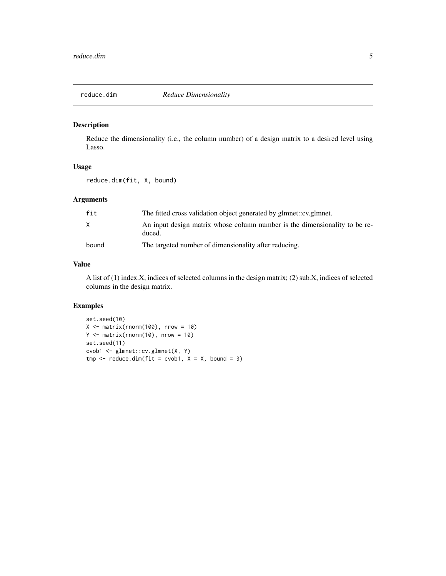<span id="page-4-0"></span>

#### Description

Reduce the dimensionality (i.e., the column number) of a design matrix to a desired level using Lasso.

#### Usage

reduce.dim(fit, X, bound)

#### Arguments

| fit   | The fitted cross validation object generated by glmnet::cv.glmnet.                   |
|-------|--------------------------------------------------------------------------------------|
| X     | An input design matrix whose column number is the dimensionality to be re-<br>duced. |
| bound | The targeted number of dimensionality after reducing.                                |

#### Value

A list of (1) index.X, indices of selected columns in the design matrix; (2) sub.X, indices of selected columns in the design matrix.

#### Examples

```
set.seed(10)
X \leq - matrix(rnorm(100), nrow = 10)
Y \leq - matrix(rnorm(10), nrow = 10)
set.seed(11)
cvob1 <- glmnet::cv.glmnet(X, Y)
tmp \leftarrow reduce.dim(fit = cvob1, X = X, bound = 3)
```